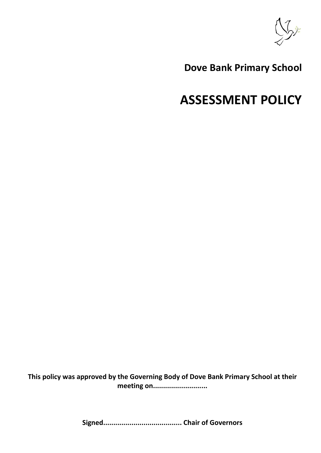

# **Dove Bank Primary School**

# **ASSESSMENT POLICY**

**This policy was approved by the Governing Body of Dove Bank Primary School at their meeting on...........................**

**Signed....................................... Chair of Governors**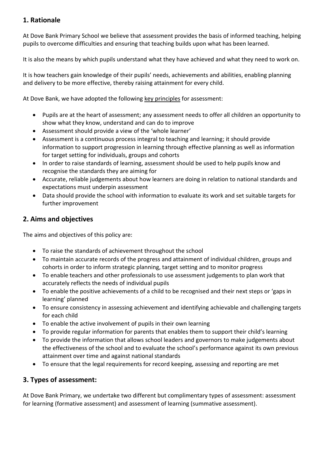# **1. Rationale**

At Dove Bank Primary School we believe that assessment provides the basis of informed teaching, helping pupils to overcome difficulties and ensuring that teaching builds upon what has been learned.

It is also the means by which pupils understand what they have achieved and what they need to work on.

It is how teachers gain knowledge of their pupils' needs, achievements and abilities, enabling planning and delivery to be more effective, thereby raising attainment for every child.

At Dove Bank, we have adopted the following key principles for assessment:

- Pupils are at the heart of assessment; any assessment needs to offer all children an opportunity to show what they know, understand and can do to improve
- Assessment should provide a view of the 'whole learner'
- Assessment is a continuous process integral to teaching and learning; it should provide information to support progression in learning through effective planning as well as information for target setting for individuals, groups and cohorts
- In order to raise standards of learning, assessment should be used to help pupils know and recognise the standards they are aiming for
- Accurate, reliable judgements about how learners are doing in relation to national standards and expectations must underpin assessment
- Data should provide the school with information to evaluate its work and set suitable targets for further improvement

# **2. Aims and objectives**

The aims and objectives of this policy are:

- To raise the standards of achievement throughout the school
- To maintain accurate records of the progress and attainment of individual children, groups and cohorts in order to inform strategic planning, target setting and to monitor progress
- To enable teachers and other professionals to use assessment judgements to plan work that accurately reflects the needs of individual pupils
- To enable the positive achievements of a child to be recognised and their next steps or 'gaps in learning' planned
- To ensure consistency in assessing achievement and identifying achievable and challenging targets for each child
- To enable the active involvement of pupils in their own learning
- To provide regular information for parents that enables them to support their child's learning
- To provide the information that allows school leaders and governors to make judgements about the effectiveness of the school and to evaluate the school's performance against its own previous attainment over time and against national standards
- To ensure that the legal requirements for record keeping, assessing and reporting are met

# **3. Types of assessment:**

At Dove Bank Primary, we undertake two different but complimentary types of assessment: assessment for learning (formative assessment) and assessment of learning (summative assessment).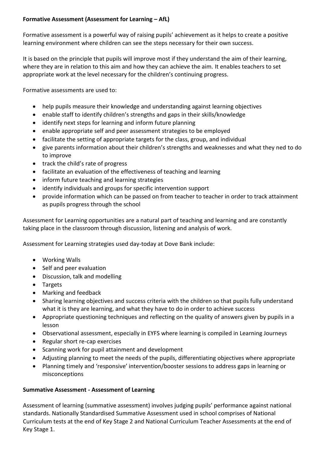#### **Formative Assessment (Assessment for Learning – AfL)**

Formative assessment is a powerful way of raising pupils' achievement as it helps to create a positive learning environment where children can see the steps necessary for their own success.

It is based on the principle that pupils will improve most if they understand the aim of their learning, where they are in relation to this aim and how they can achieve the aim. It enables teachers to set appropriate work at the level necessary for the children's continuing progress.

Formative assessments are used to:

- help pupils measure their knowledge and understanding against learning objectives
- enable staff to identify children's strengths and gaps in their skills/knowledge
- identify next steps for learning and inform future planning
- enable appropriate self and peer assessment strategies to be employed
- facilitate the setting of appropriate targets for the class, group, and individual
- give parents information about their children's strengths and weaknesses and what they ned to do to improve
- track the child's rate of progress
- facilitate an evaluation of the effectiveness of teaching and learning
- inform future teaching and learning strategies
- identify individuals and groups for specific intervention support
- provide information which can be passed on from teacher to teacher in order to track attainment as pupils progress through the school

Assessment for Learning opportunities are a natural part of teaching and learning and are constantly taking place in the classroom through discussion, listening and analysis of work.

Assessment for Learning strategies used day-today at Dove Bank include:

- Working Walls
- Self and peer evaluation
- Discussion, talk and modelling
- Targets
- Marking and feedback
- Sharing learning objectives and success criteria with the children so that pupils fully understand what it is they are learning, and what they have to do in order to achieve success
- Appropriate questioning techniques and reflecting on the quality of answers given by pupils in a lesson
- Observational assessment, especially in EYFS where learning is compiled in Learning Journeys
- Regular short re-cap exercises
- Scanning work for pupil attainment and development
- Adjusting planning to meet the needs of the pupils, differentiating objectives where appropriate
- Planning timely and 'responsive' intervention/booster sessions to address gaps in learning or misconceptions

#### **Summative Assessment - Assessment of Learning**

Assessment of learning (summative assessment) involves judging pupils' performance against national standards. Nationally Standardised Summative Assessment used in school comprises of National Curriculum tests at the end of Key Stage 2 and National Curriculum Teacher Assessments at the end of Key Stage 1.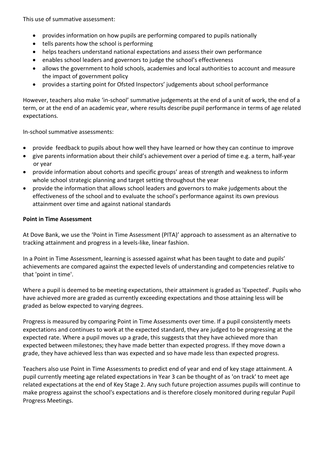This use of summative assessment:

- provides information on how pupils are performing compared to pupils nationally
- tells parents how the school is performing
- helps teachers understand national expectations and assess their own performance
- enables school leaders and governors to judge the school's effectiveness
- allows the government to hold schools, academies and local authorities to account and measure the impact of government policy
- provides a starting point for Ofsted Inspectors' judgements about school performance

However, teachers also make 'in-school' summative judgements at the end of a unit of work, the end of a term, or at the end of an academic year, where results describe pupil performance in terms of age related expectations.

In-school summative assessments:

- provide feedback to pupils about how well they have learned or how they can continue to improve
- give parents information about their child's achievement over a period of time e.g. a term, half-year or year
- provide information about cohorts and specific groups' areas of strength and weakness to inform whole school strategic planning and target setting throughout the year
- provide the information that allows school leaders and governors to make judgements about the effectiveness of the school and to evaluate the school's performance against its own previous attainment over time and against national standards

#### **Point in Time Assessment**

At Dove Bank, we use the 'Point in Time Assessment (PITA)' approach to assessment as an alternative to tracking attainment and progress in a levels-like, linear fashion.

In a Point in Time Assessment, learning is assessed against what has been taught to date and pupils' achievements are compared against the expected levels of understanding and competencies relative to that 'point in time'.

Where a pupil is deemed to be meeting expectations, their attainment is graded as 'Expected'. Pupils who have achieved more are graded as currently exceeding expectations and those attaining less will be graded as below expected to varying degrees.

Progress is measured by comparing Point in Time Assessments over time. If a pupil consistently meets expectations and continues to work at the expected standard, they are judged to be progressing at the expected rate. Where a pupil moves up a grade, this suggests that they have achieved more than expected between milestones; they have made better than expected progress. If they move down a grade, they have achieved less than was expected and so have made less than expected progress.

Teachers also use Point in Time Assessments to predict end of year and end of key stage attainment. A pupil currently meeting age related expectations in Year 3 can be thought of as 'on track' to meet age related expectations at the end of Key Stage 2. Any such future projection assumes pupils will continue to make progress against the school's expectations and is therefore closely monitored during regular Pupil Progress Meetings.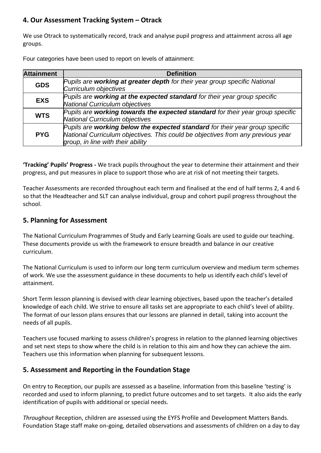# **4. Our Assessment Tracking System – Otrack**

We use Otrack to systematically record, track and analyse pupil progress and attainment across all age groups.

Four categories have been used to report on levels of attainment:

| <b>Attainment</b> | <b>Definition</b>                                                                                                                                                                                    |
|-------------------|------------------------------------------------------------------------------------------------------------------------------------------------------------------------------------------------------|
| <b>GDS</b>        | Pupils are working at greater depth for their year group specific National<br>Curriculum objectives                                                                                                  |
| <b>EXS</b>        | Pupils are working at the expected standard for their year group specific<br>National Curriculum objectives                                                                                          |
| <b>WTS</b>        | Pupils are working towards the expected standard for their year group specific<br>National Curriculum objectives                                                                                     |
| <b>PYG</b>        | Pupils are working below the expected standard for their year group specific<br>National Curriculum objectives. This could be objectives from any previous year<br>group, in line with their ability |

**'Tracking' Pupils' Progress -** We track pupils throughout the year to determine their attainment and their progress, and put measures in place to support those who are at risk of not meeting their targets.

Teacher Assessments are recorded throughout each term and finalised at the end of half terms 2, 4 and 6 so that the Headteacher and SLT can analyse individual, group and cohort pupil progress throughout the school.

#### **5. Planning for Assessment**

The National Curriculum Programmes of Study and Early Learning Goals are used to guide our teaching. These documents provide us with the framework to ensure breadth and balance in our creative curriculum.

The National Curriculum is used to inform our long term curriculum overview and medium term schemes of work. We use the assessment guidance in these documents to help us identify each child's level of attainment.

Short Term lesson planning is devised with clear learning objectives, based upon the teacher's detailed knowledge of each child. We strive to ensure all tasks set are appropriate to each child's level of ability. The format of our lesson plans ensures that our lessons are planned in detail, taking into account the needs of all pupils.

Teachers use focused marking to assess children's progress in relation to the planned learning objectives and set next steps to show where the child is in relation to this aim and how they can achieve the aim. Teachers use this information when planning for subsequent lessons.

# **5. Assessment and Reporting in the Foundation Stage**

On entry to Reception, our pupils are assessed as a baseline. Information from this baseline 'testing' is recorded and used to inform planning, to predict future outcomes and to set targets. It also aids the early identification of pupils with additional or special needs.

*Throughout* Reception, children are assessed using the EYFS Profile and Development Matters Bands. Foundation Stage staff make on-going, detailed observations and assessments of children on a day to day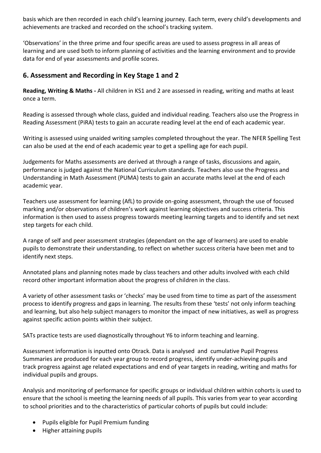basis which are then recorded in each child's learning journey. Each term, every child's developments and achievements are tracked and recorded on the school's tracking system.

'Observations' in the three prime and four specific areas are used to assess progress in all areas of learning and are used both to inform planning of activities and the learning environment and to provide data for end of year assessments and profile scores.

# **6. Assessment and Recording in Key Stage 1 and 2**

**Reading, Writing & Maths -** All children in KS1 and 2 are assessed in reading, writing and maths at least once a term.

Reading is assessed through whole class, guided and individual reading. Teachers also use the Progress in Reading Assessment (PiRA) tests to gain an accurate reading level at the end of each academic year.

Writing is assessed using unaided writing samples completed throughout the year. The NFER Spelling Test can also be used at the end of each academic year to get a spelling age for each pupil.

Judgements for Maths assessments are derived at through a range of tasks, discussions and again, performance is judged against the National Curriculum standards. Teachers also use the Progress and Understanding in Math Assessment (PUMA) tests to gain an accurate maths level at the end of each academic year.

Teachers use assessment for learning (AfL) to provide on-going assessment, through the use of focused marking and/or observations of children's work against learning objectives and success criteria. This information is then used to assess progress towards meeting learning targets and to identify and set next step targets for each child.

A range of self and peer assessment strategies (dependant on the age of learners) are used to enable pupils to demonstrate their understanding, to reflect on whether success criteria have been met and to identify next steps.

Annotated plans and planning notes made by class teachers and other adults involved with each child record other important information about the progress of children in the class.

A variety of other assessment tasks or 'checks' may be used from time to time as part of the assessment process to identify progress and gaps in learning. The results from these 'tests' not only inform teaching and learning, but also help subject managers to monitor the impact of new initiatives, as well as progress against specific action points within their subject.

SATs practice tests are used diagnostically throughout Y6 to inform teaching and learning.

Assessment information is inputted onto Otrack. Data is analysed and cumulative Pupil Progress Summaries are produced for each year group to record progress, identify under-achieving pupils and track progress against age related expectations and end of year targets in reading, writing and maths for individual pupils and groups.

Analysis and monitoring of performance for specific groups or individual children within cohorts is used to ensure that the school is meeting the learning needs of all pupils. This varies from year to year according to school priorities and to the characteristics of particular cohorts of pupils but could include:

- Pupils eligible for Pupil Premium funding
- Higher attaining pupils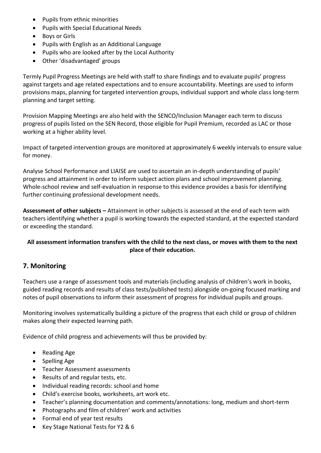- Pupils from ethnic minorities
- Pupils with Special Educational Needs
- Boys or Girls
- Pupils with English as an Additional Language
- Pupils who are looked after by the Local Authority
- Other 'disadvantaged' groups

Termly Pupil Progress Meetings are held with staff to share findings and to evaluate pupils' progress against targets and age related expectations and to ensure accountability. Meetings are used to inform provisions maps, planning for targeted intervention groups, individual support and whole class long-term planning and target setting.

Provision Mapping Meetings are also held with the SENCO/Inclusion Manager each term to discuss progress of pupils listed on the SEN Record, those eligible for Pupil Premium, recorded as LAC or those working at a higher ability level.

Impact of targeted intervention groups are monitored at approximately 6 weekly intervals to ensure value for money.

Analyse School Performance and LIAISE are used to ascertain an in-depth understanding of pupils' progress and attainment in order to inform subject action plans and school improvement planning. Whole-school review and self-evaluation in response to this evidence provides a basis for identifying further continuing professional development needs.

**Assessment of other subjects –** Attainment in other subjects is assessed at the end of each term with teachers identifying whether a pupil is working towards the expected standard, at the expected standard or exceeding the standard.

#### **All assessment information transfers with the child to the next class, or moves with them to the next place of their education.**

# **7. Monitoring**

Teachers use a range of assessment tools and materials (including analysis of children's work in books, guided reading records and results of class tests/published tests) alongside on-going focused marking and notes of pupil observations to inform their assessment of progress for individual pupils and groups.

Monitoring involves systematically building a picture of the progress that each child or group of children makes along their expected learning path.

Evidence of child progress and achievements will thus be provided by:

- Reading Age
- Spelling Age
- Teacher Assessment assessments
- Results of and regular tests, etc.
- Individual reading records: school and home
- Child's exercise books, worksheets, art work etc.
- Teacher's planning documentation and comments/annotations: long, medium and short-term
- Photographs and film of children' work and activities
- Formal end of year test results
- Key Stage National Tests for Y2 & 6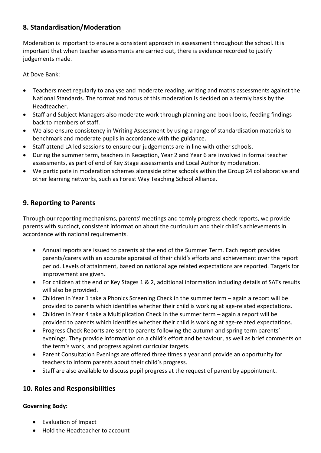# **8. Standardisation/Moderation**

Moderation is important to ensure a consistent approach in assessment throughout the school. It is important that when teacher assessments are carried out, there is evidence recorded to justify judgements made.

At Dove Bank:

- Teachers meet regularly to analyse and moderate reading, writing and maths assessments against the National Standards. The format and focus of this moderation is decided on a termly basis by the Headteacher.
- Staff and Subject Managers also moderate work through planning and book looks, feeding findings back to members of staff.
- We also ensure consistency in Writing Assessment by using a range of standardisation materials to benchmark and moderate pupils in accordance with the guidance.
- Staff attend LA led sessions to ensure our judgements are in line with other schools.
- During the summer term, teachers in Reception, Year 2 and Year 6 are involved in formal teacher assessments, as part of end of Key Stage assessments and Local Authority moderation.
- We participate in moderation schemes alongside other schools within the Group 24 collaborative and other learning networks, such as Forest Way Teaching School Alliance.

# **9. Reporting to Parents**

Through our reporting mechanisms, parents' meetings and termly progress check reports, we provide parents with succinct, consistent information about the curriculum and their child's achievements in accordance with national requirements.

- Annual reports are issued to parents at the end of the Summer Term. Each report provides parents/carers with an accurate appraisal of their child's efforts and achievement over the report period. Levels of attainment, based on national age related expectations are reported. Targets for improvement are given.
- For children at the end of Key Stages 1 & 2, additional information including details of SATs results will also be provided.
- Children in Year 1 take a Phonics Screening Check in the summer term again a report will be provided to parents which identifies whether their child is working at age-related expectations.
- Children in Year 4 take a Multiplication Check in the summer term again a report will be provided to parents which identifies whether their child is working at age-related expectations.
- Progress Check Reports are sent to parents following the autumn and spring term parents' evenings. They provide information on a child's effort and behaviour, as well as brief comments on the term's work, and progress against curricular targets.
- Parent Consultation Evenings are offered three times a year and provide an opportunity for teachers to inform parents about their child's progress.
- Staff are also available to discuss pupil progress at the request of parent by appointment.

# **10. Roles and Responsibilities**

#### **Governing Body:**

- Evaluation of Impact
- Hold the Headteacher to account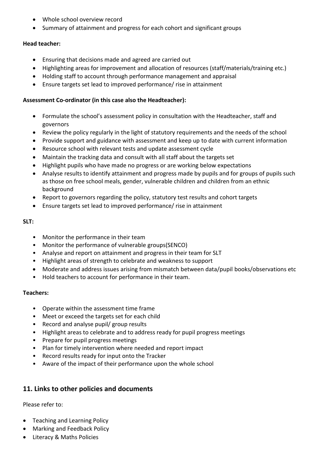- Whole school overview record
- Summary of attainment and progress for each cohort and significant groups

#### **Head teacher:**

- Ensuring that decisions made and agreed are carried out
- Highlighting areas for improvement and allocation of resources (staff/materials/training etc.)
- Holding staff to account through performance management and appraisal
- Ensure targets set lead to improved performance/ rise in attainment

#### **Assessment Co-ordinator (in this case also the Headteacher):**

- Formulate the school's assessment policy in consultation with the Headteacher, staff and governors
- Review the policy regularly in the light of statutory requirements and the needs of the school
- Provide support and guidance with assessment and keep up to date with current information
- Resource school with relevant tests and update assessment cycle
- Maintain the tracking data and consult with all staff about the targets set
- Highlight pupils who have made no progress or are working below expectations
- Analyse results to identify attainment and progress made by pupils and for groups of pupils such as those on free school meals, gender, vulnerable children and children from an ethnic background
- Report to governors regarding the policy, statutory test results and cohort targets
- Ensure targets set lead to improved performance/ rise in attainment

#### **SLT:**

- Monitor the performance in their team
- Monitor the performance of vulnerable groups(SENCO)
- Analyse and report on attainment and progress in their team for SLT
- Highlight areas of strength to celebrate and weakness to support
- Moderate and address issues arising from mismatch between data/pupil books/observations etc
- Hold teachers to account for performance in their team.

#### **Teachers:**

- Operate within the assessment time frame
- Meet or exceed the targets set for each child
- Record and analyse pupil/ group results
- Highlight areas to celebrate and to address ready for pupil progress meetings
- Prepare for pupil progress meetings
- Plan for timely intervention where needed and report impact
- Record results ready for input onto the Tracker
- Aware of the impact of their performance upon the whole school

# **11. Links to other policies and documents**

Please refer to:

- Teaching and Learning Policy
- Marking and Feedback Policy
- Literacy & Maths Policies